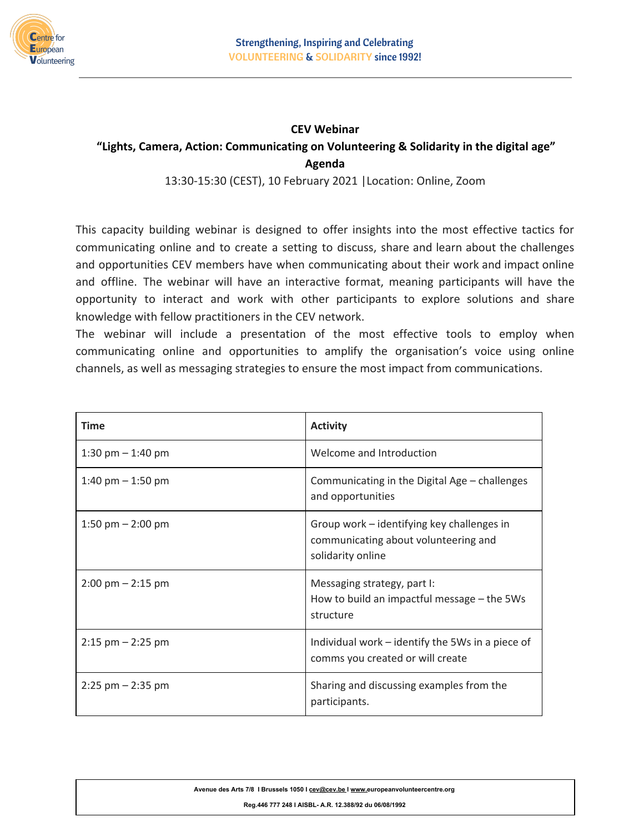

## **CEV Webinar "Lights, Camera, Action: Communicating on Volunteering & Solidarity in the digital age" Agenda**

13:30-15:30 (CEST), 10 February 2021 |Location: Online, Zoom

This capacity building webinar is designed to offer insights into the most effective tactics for communicating online and to create a setting to discuss, share and learn about the challenges and opportunities CEV members have when communicating about their work and impact online and offline. The webinar will have an interactive format, meaning participants will have the opportunity to interact and work with other participants to explore solutions and share knowledge with fellow practitioners in the CEV network.

The webinar will include a presentation of the most effective tools to employ when communicating online and opportunities to amplify the organisation's voice using online channels, as well as messaging strategies to ensure the most impact from communications.

| <b>Time</b>                         | <b>Activity</b>                                                                                         |
|-------------------------------------|---------------------------------------------------------------------------------------------------------|
| 1:30 pm $-$ 1:40 pm                 | Welcome and Introduction                                                                                |
| 1:40 pm $-$ 1:50 pm                 | Communicating in the Digital Age – challenges<br>and opportunities                                      |
| 1:50 pm $-$ 2:00 pm                 | Group work – identifying key challenges in<br>communicating about volunteering and<br>solidarity online |
| $2:00 \text{ pm} - 2:15 \text{ pm}$ | Messaging strategy, part I:<br>How to build an impactful message – the 5Ws<br>structure                 |
| $2:15$ pm $- 2:25$ pm               | Individual work – identify the 5Ws in a piece of<br>comms you created or will create                    |
| $2:25$ pm $- 2:35$ pm               | Sharing and discussing examples from the<br>participants.                                               |

**Avenue des Arts 7/8 I Brussels 1050 I [cev@cev.be](mailto:cev@cev.be) I [www.](http://www.cev.be/)europeanvolunteercentre.org**

**Reg.446 777 248 I AISBL- A.R. 12.388/92 du 06/08/1992**